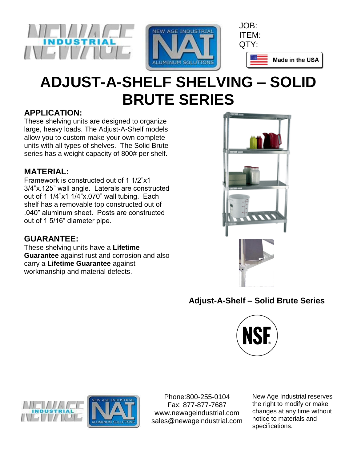



# **ADJUST-A-SHELF SHELVING – SOLID BRUTE SERIES**

### **APPLICATION:**

These shelving units are designed to organize large, heavy loads. The Adjust-A-Shelf models allow you to custom make your own complete units with all types of shelves. The Solid Brute series has a weight capacity of 800# per shelf.

### **MATERIAL:**

Framework is constructed out of 1 1/2"x1 3/4"x.125" wall angle. Laterals are constructed out of 1 1/4"x1 1/4"x.070" wall tubing. Each shelf has a removable top constructed out of .040" aluminum sheet. Posts are constructed out of 1 5/16" diameter pipe.

### **GUARANTEE:**

These shelving units have a **Lifetime Guarantee** against rust and corrosion and also carry a **Lifetime Guarantee** against workmanship and material defects.



## **Adjust-A-Shelf – Solid Brute Series**





Phone:800-255-0104 Fax: 877-877-7687 www.newageindustrial.com sales@newageindustrial.com

New Age Industrial reserves the right to modify or make changes at any time without notice to materials and specifications.